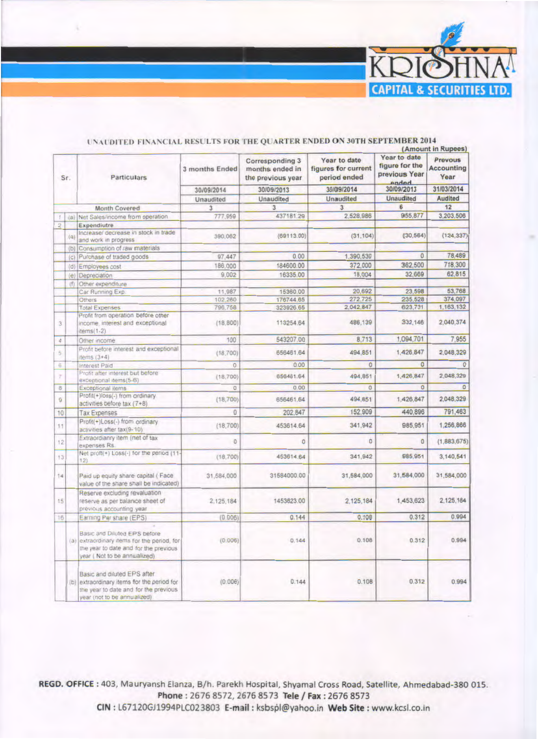

|                |         |                                                                                                                                                     |                |                                                         |                                                     |                                                          | (Amount in Rupees)                   |
|----------------|---------|-----------------------------------------------------------------------------------------------------------------------------------------------------|----------------|---------------------------------------------------------|-----------------------------------------------------|----------------------------------------------------------|--------------------------------------|
|                | Sr.     | Particulars                                                                                                                                         | 3 months Ended | Corresponding 3<br>months ended in<br>the previous year | Year to date<br>figures for current<br>period ended | Year to date<br>figure for the<br>previous Year<br>hehne | Prevous<br><b>Accounting</b><br>Year |
|                |         |                                                                                                                                                     | 30/09/2014     | 30/09/2013                                              | 30/09/2014                                          | 30/09/2013                                               | 31/03/2014                           |
|                |         |                                                                                                                                                     | Unaudited<br>3 | Unaudited<br>3                                          | Unaudited<br>$\overline{3}$                         | Unaudited<br>6                                           | Audited<br>12                        |
|                |         | Month Covered                                                                                                                                       |                |                                                         |                                                     |                                                          |                                      |
|                |         | (a) Net Sales/income from operation.                                                                                                                | 777,959        | 437181.29                                               | 2,528,986                                           | 955,877                                                  | 3,203,506                            |
| $\overline{2}$ |         | Expendiutre                                                                                                                                         |                |                                                         |                                                     |                                                          |                                      |
|                | (a)     | Increase/ decrease in stock in trade<br>and work in progress                                                                                        | 390,062        | (69113.00)                                              | (31, 104)                                           | (30, 564)                                                | (124, 337)                           |
|                | (b)     | Consumption of raw materials                                                                                                                        |                |                                                         |                                                     |                                                          |                                      |
|                | (c)     | Purchase of traded goods                                                                                                                            | 97.447         | 0.00                                                    | 1.390,530                                           | $\overline{0}$                                           | 78,489                               |
|                | $\{d\}$ | Employees cost                                                                                                                                      | 186,000        | 184600.00                                               | 372,000                                             | 362,500                                                  | 718,300                              |
|                | (e)     | Depreciation                                                                                                                                        | 9,002          | 16335.00                                                | 18,004                                              | 32,669                                                   | 62,815                               |
|                | (1)     | Other expenditure                                                                                                                                   |                |                                                         |                                                     |                                                          |                                      |
|                |         | Car Running Exp.                                                                                                                                    | 11,987         | 15360.00                                                | 20,692                                              | 23.598                                                   | 53,768                               |
|                |         | Others                                                                                                                                              | 102,260        | 176744.65                                               | 272,725                                             | 235,528                                                  | 374,097                              |
|                |         | <b>Total Expenses</b>                                                                                                                               | 796,758        | 323926.65                                               | 2.042.847                                           | 623,731                                                  | 1.163,132                            |
| 3              |         | Profit from operation before other<br>income, interest and exceptional<br>$items(1-2)$                                                              | (18, 800)      | 113254.64                                               | 486,139                                             | 332,146                                                  | 2,040,374                            |
| ă              |         | Other income                                                                                                                                        | 100            | 543207.00                                               | 8,713                                               | 1,094,701                                                | 7,955                                |
| 5              |         | Profit before interest and exceptional<br>$Hems(3+4)$                                                                                               | (18, 700)      | 656461.64                                               | 494,851                                             | 1,426,847                                                | 2,048,329                            |
| ė.             |         | Interest Paid                                                                                                                                       | $\overline{0}$ | 0.00                                                    | $\circ$                                             | $\overline{0}$                                           | $\circ$                              |
| 7              |         | Profit after interest but before<br>exceptional items(5-6)                                                                                          | (18, 700)      | 656461.64                                               | 494,851                                             | 1,426,847                                                | 2,048,329                            |
| $\overline{B}$ |         | Exceptional items                                                                                                                                   | o              | 0.00                                                    | $\alpha$                                            | $\circ$                                                  | $\overline{0}$                       |
| g              |         | Profit(+)loss(-) from ordinary<br>activities before tax (7+8)                                                                                       | (18, 700)      | 656461,64                                               | 494,851                                             | 1,426,847                                                | 2,048,329                            |
| 10             |         | <b>Tax Expenses</b>                                                                                                                                 | $\theta$       | 202,847                                                 | 152,909                                             | 440,896                                                  | 791,463                              |
| 11             |         | Profit(+)Loss(-) from ordinary<br>activities after tax(9-10)                                                                                        | (18, 700)      | 453614.64                                               | 341,942                                             | 985,951                                                  | 1,256,866                            |
| 12             |         | Extraordianry item (net of tax<br>expenses Rs.                                                                                                      | $\theta$       | $\Omega$                                                | ö.                                                  | $\theta$                                                 | (1,883,675)                          |
| 13             |         | Net prof(+) Loss(-) for the period (11-<br>12)                                                                                                      | (18, 700)      | 453614.64                                               | 341,942                                             | 985,951                                                  | 3,140,541                            |
| 14             |         | Paid up equity share capital (Face<br>value of the share shall be indicated)                                                                        | 31,584,000     | 31584000.00                                             | 31,584,000                                          | 31,584,000                                               | 31,584,000                           |
| 15             |         | Reserve excluding revaluation<br>reserve as per balance sheet of<br>previous accounting year.                                                       | 2.125.184      | 1453623.00                                              | 2,125,184                                           | 1,453,623                                                | 2,125,184                            |
| 16             |         | Earning Per share (EPS)                                                                                                                             | (0.006)        | 0.144                                                   | 0.108                                               | 0.312                                                    | 0.994                                |
|                |         | Basic and Diluted EPS before<br>(a) extraordinary items for the period, for<br>the year to date and for the previous<br>vear (Not to be annualized) | (0.006)        | 0.144                                                   | 0.108                                               | 0.312                                                    | 0.994                                |
|                |         | Basic and diluted EPS after<br>(b) extraordinary items for the period for<br>the year to date and for the previous<br>(bestilisume ad of fort) hasv | (0.006)        | 0.144                                                   | 0.108                                               | 0.312                                                    | 0.994                                |

## UNAUDITED FINANCIAL RESULTS FOR THE QUARTER ENDED ON 30TH SEPTEMBER 2014

REGD. OFFICE: 403, Mauryansh Elanza, B/h. Parekh Hospital, Shyamal Cross Road, Satellite, Ahmedabad-380 015. Phone: 2676 8572, 2676 8573 Tele / Fax: 2676 8573

CIN : L67120GJ1994PLC023803 E-mail : ksbspl@yahoo.in Web Site : www.kcsl.co.in